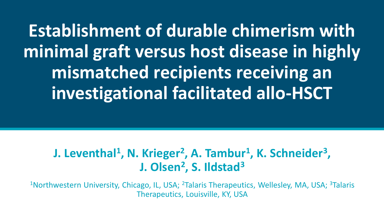**Establishment of durable chimerism with minimal graft versus host disease in highly mismatched recipients receiving an investigational facilitated allo-HSCT**

#### **J. Leventhal<sup>1</sup>, N. Krieger<sup>2</sup>, A. Tambur<sup>1</sup>, K. Schneider<sup>3</sup>, J. Olsen<sup>2</sup> , S. Ildstad<sup>3</sup>**

<sup>1</sup>Northwestern University, Chicago, IL, USA; <sup>2</sup>Talaris Therapeutics, Wellesley, MA, USA; <sup>3</sup>Talaris Therapeutics, Louisville, KY, USA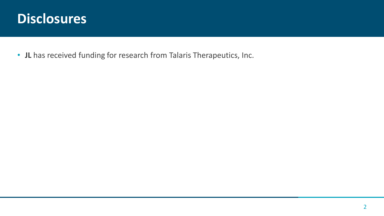### **Disclosures**

• **JL** has received funding for research from Talaris Therapeutics, Inc.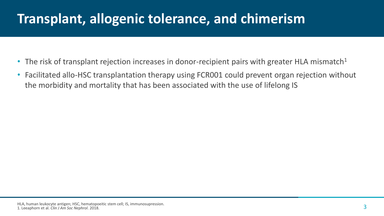## **Transplant, allogenic tolerance, and chimerism**

- The risk of transplant rejection increases in donor-recipient pairs with greater HLA mismatch $1$
- Facilitated allo-HSC transplantation therapy using FCR001 could prevent organ rejection without the morbidity and mortality that has been associated with the use of lifelong IS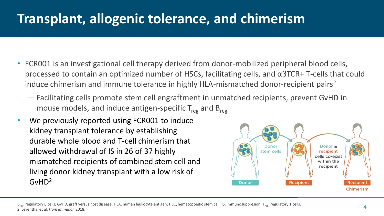## **Transplant, allogenic tolerance, and chimerism**

- FCR001 is an investigational cell therapy derived from donor-mobilized peripheral blood cells, processed to contain an optimized number of HSCs, facilitating cells, and αβTCR+ T-cells that could induce chimerism and immune tolerance in highly HLA-mismatched donor-recipient pairs<sup>2</sup>
	- Facilitating cells promote stem cell engraftment in unmatched recipients, prevent GvHD in mouse models, and induce antigen-specific  $T_{\text{reg}}$  and  $B_{\text{reg}}$
- We previously reported using FCR001 to induce kidney transplant tolerance by establishing durable whole blood and T-cell chimerism that allowed withdrawal of IS in 26 of 37 highly mismatched recipients of combined stem cell and living donor kidney transplant with a low risk of GvHD2



B<sub>reg</sub>, regulatory B cells; GvHD, graft versus host disease; HLA, human leukocyte antigen; HSC, hematopoeitic stem cell; IS, immunosuppresion; T<sub>reg</sub>, regulatory T cells. 2. Leventhal et al. *Hum Immunol*. 2018.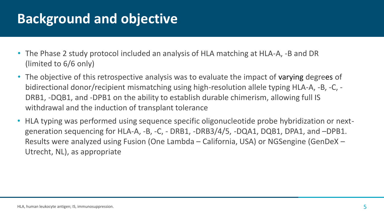## **Background and objective**

- The Phase 2 study protocol included an analysis of HLA matching at HLA-A, -B and DR (limited to 6/6 only)
- The objective of this retrospective analysis was to evaluate the impact of varying degrees of bidirectional donor/recipient mismatching using high-resolution allele typing HLA-A, -B, -C, - DRB1, -DQB1, and -DPB1 on the ability to establish durable chimerism, allowing full IS withdrawal and the induction of transplant tolerance
- HLA typing was performed using sequence specific oligonucleotide probe hybridization or nextgeneration sequencing for HLA-A, -B, -C, - DRB1, -DRB3/4/5, -DQA1, DQB1, DPA1, and –DPB1. Results were analyzed using Fusion (One Lambda – California, USA) or NGSengine (GenDeX – Utrecht, NL), as appropriate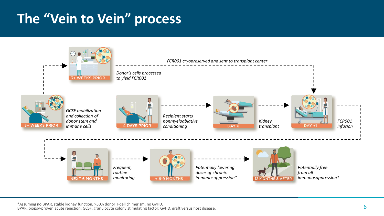# **The "Vein to Vein" process**



\*Assuming no BPAR, stable kidney function, >50% donor T-cell chimerism, no GvHD. BPAR, biopsy-proven acute rejection; GCSF, granulocyte colony stimulating factor; GvHD, graft versus host disease.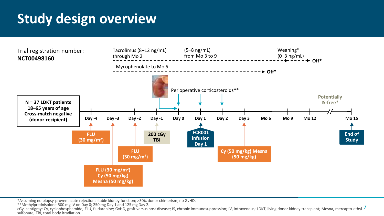## **Study design overview**



\*Assuming no biopsy-proven acute rejection; stable kidney function; >50% donor chimerism; no GvHD.

\*\*Methylprednisolone 500 mg IV on Day 0; 250 mg Day 1 and 125 mg Day 2.

\*\*Metnyiprednisolone 500 mg iv on Day 0; 250 mg Day 1 and 125 mg Day 2.<br>cGy, centigray; Cy, cyclophosphamide; FLU, fludarabine; GvHD, graft versus host disease; IS, chronic immunosuppression; IV, intravenous; LDKT, living sulfonate; TBI, total body irradiation.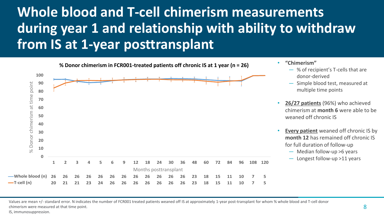# **Whole blood and T-cell chimerism measurements during year 1 and relationship with ability to withdraw from IS at 1-year posttransplant**



Values are mean +/- standard error. N indicates the number of FCR001 treated patients weaned off IS at approximately 1-year post-transplant for whom % whole blood and T-cell donor chimerism were measured at that time point.

IS, immunosuppression.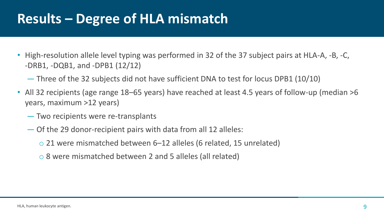### **Results – Degree of HLA mismatch**

- High-resolution allele level typing was performed in 32 of the 37 subject pairs at HLA-A, -B, -C, -DRB1, -DQB1, and -DPB1 (12/12)
	- Three of the 32 subjects did not have sufficient DNA to test for locus DPB1 (10/10)
- All 32 recipients (age range 18–65 years) have reached at least 4.5 years of follow-up (median >6 years, maximum >12 years)
	- Two recipients were re-transplants
	- Of the 29 donor-recipient pairs with data from all 12 alleles:
		- o 21 were mismatched between 6–12 alleles (6 related, 15 unrelated)
		- o 8 were mismatched between 2 and 5 alleles (all related)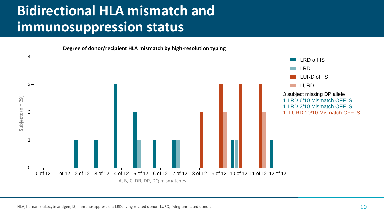# **Bidirectional HLA mismatch and immunosuppression status**



HLA, human leukocyte antigen; IS, immunosuppression; LRD, living related donor; LURD, living unrelated donor.  $10$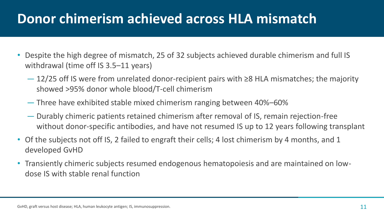### **Donor chimerism achieved across HLA mismatch**

- Despite the high degree of mismatch, 25 of 32 subjects achieved durable chimerism and full IS withdrawal (time off IS 3.5–11 years)
	- 12/25 off IS were from unrelated donor-recipient pairs with ≥8 HLA mismatches; the majority showed >95% donor whole blood/T-cell chimerism
	- Three have exhibited stable mixed chimerism ranging between 40%–60%
	- Durably chimeric patients retained chimerism after removal of IS, remain rejection-free without donor-specific antibodies, and have not resumed IS up to 12 years following transplant
- Of the subjects not off IS, 2 failed to engraft their cells; 4 lost chimerism by 4 months, and 1 developed GvHD
- Transiently chimeric subjects resumed endogenous hematopoiesis and are maintained on lowdose IS with stable renal function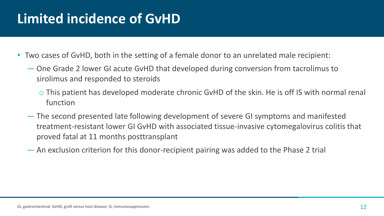# **Limited incidence of GvHD**

- Two cases of GvHD, both in the setting of a female donor to an unrelated male recipient:
	- One Grade 2 lower GI acute GvHD that developed during conversion from tacrolimus to sirolimus and responded to steroids
		- o This patient has developed moderate chronic GvHD of the skin. He is off IS with normal renal function
	- The second presented late following development of severe GI symptoms and manifested treatment-resistant lower GI GvHD with associated tissue-invasive cytomegalovirus colitis that proved fatal at 11 months posttransplant
	- An exclusion criterion for this donor-recipient pairing was added to the Phase 2 trial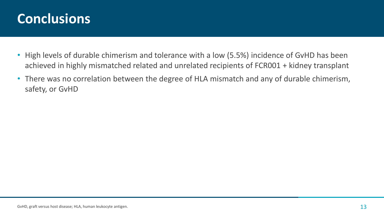### **Conclusions**

- High levels of durable chimerism and tolerance with a low (5.5%) incidence of GvHD has been achieved in highly mismatched related and unrelated recipients of FCR001 + kidney transplant
- There was no correlation between the degree of HLA mismatch and any of durable chimerism, safety, or GvHD